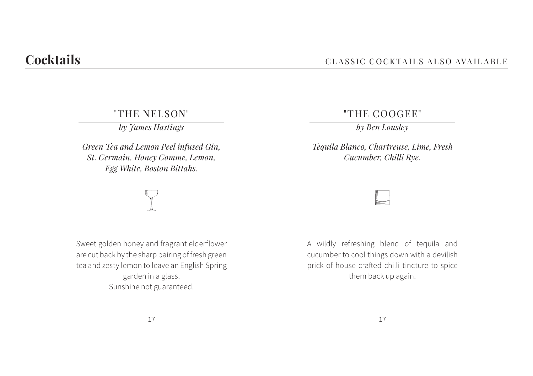"THE NELSON"

*by James Hastings*

*Green Tea and Lemon Peel infused Gin, St. Germain, Honey Gomme, Lemon, Egg White, Boston Bittahs.*

Sweet golden honey and fragrant elderflower are cut back by the sharp pairing of fresh green tea and zesty lemon to leave an English Spring garden in a glass. Sunshine not guaranteed.

"THE COOGEE"

*by Ben Lousley*

*Tequila Blanco, Chartreuse, Lime, Fresh Cucumber, Chilli Rye.*

A wildly refreshing blend of tequila and cucumber to cool things down with a devilish prick of house crafted chilli tincture to spice them back up again.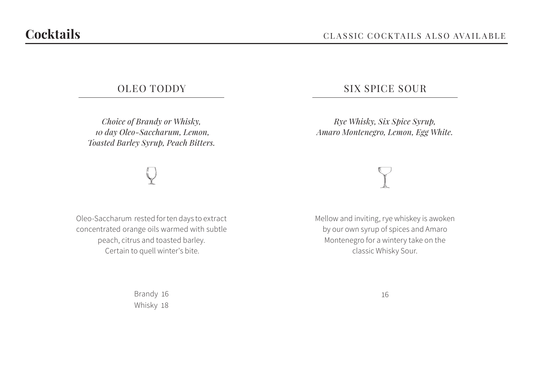## OLEO TODDY

*Choice of Brandy or Whisky, 10 day Oleo-Saccharum, Lemon, Toasted Barley Syrup, Peach Bitters.*

## SIX SPICE SOUR

*Rye Whisky, Six Spice Syrup, Amaro Montenegro, Lemon, Egg White.*

Oleo-Saccharum rested for ten days to extract concentrated orange oils warmed with subtle peach, citrus and toasted barley. Certain to quell winter's bite.

> Brandy 16 Whisky 18



Mellow and inviting, rye whiskey is awoken by our own syrup of spices and Amaro Montenegro for a wintery take on the classic Whisky Sour.

16